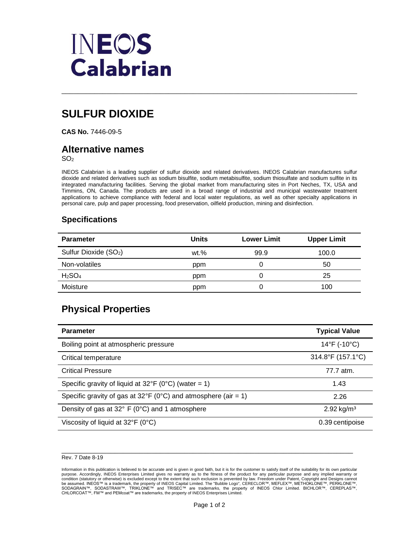

# **SULFUR DIOXIDE**

**CAS No.** 7446-09-5

## **Alternative names**

SO<sup>2</sup>

INEOS Calabrian is a leading supplier of sulfur dioxide and related derivatives. INEOS Calabrian manufactures sulfur dioxide and related derivatives such as sodium bisulfite, sodium metabisulfite, sodium thiosulfate and sodium sulfite in its integrated manufacturing facilities. Serving the global market from manufacturing sites in Port Neches, TX, USA and Timmins, ON, Canada. The products are used in a broad range of industrial and municipal wastewater treatment applications to achieve compliance with federal and local water regulations, as well as other specialty applications in personal care, pulp and paper processing, food preservation, oilfield production, mining and disinfection.

\_\_\_\_\_\_\_\_\_\_\_\_\_\_\_\_\_\_\_\_\_\_\_\_\_\_\_\_\_\_\_\_\_\_\_\_\_\_\_\_\_\_\_\_\_\_\_\_\_\_\_\_\_\_\_\_\_\_\_\_\_\_\_\_\_\_\_\_\_\_\_\_

### **Specifications**

| <b>Parameter</b>                  | <b>Units</b> | <b>Lower Limit</b> | <b>Upper Limit</b> |
|-----------------------------------|--------------|--------------------|--------------------|
| Sulfur Dioxide (SO <sub>2</sub> ) | $wt. \%$     | 99.9               | 100.0              |
| Non-volatiles                     | ppm          |                    | 50                 |
| H <sub>2</sub> SO <sub>4</sub>    | ppm          |                    | 25                 |
| Moisture                          | ppm          | U                  | 100                |

# **Physical Properties**

| <b>Parameter</b>                                               | <b>Typical Value</b>              |
|----------------------------------------------------------------|-----------------------------------|
| Boiling point at atmospheric pressure                          | $14^{\circ}$ F (-10 $^{\circ}$ C) |
| Critical temperature                                           | 314.8°F (157.1°C)                 |
| <b>Critical Pressure</b>                                       | 77.7 atm.                         |
| Specific gravity of liquid at $32^{\circ}F$ (0°C) (water = 1)  | 1.43                              |
| Specific gravity of gas at 32°F (0°C) and atmosphere (air = 1) | 2.26                              |
| Density of gas at 32° F (0°C) and 1 atmosphere                 | $2.92$ kg/m <sup>3</sup>          |
| Viscosity of liquid at $32^{\circ}F$ (0°C)                     | 0.39 centipoise                   |

#### \_\_\_\_\_\_\_\_\_\_\_\_\_\_\_\_\_\_\_\_\_\_\_\_\_\_\_\_\_\_\_\_\_\_\_\_\_\_\_\_\_\_\_\_\_\_\_\_\_\_\_\_\_\_\_\_\_\_\_\_\_\_\_\_\_\_\_\_\_\_\_ Rev. 7 Date 8-19

 Information in this publication is believed to be accurate and is given in good faith, but it is for the customer to satisfy itself of the suitability for its own particular purpose. Accordingly, INEOS Enterprises Limited gives no warranty as to the fitness of the product for any particular purpose and any implied warranty or<br>bcondition (statutory or otherwise) is excluded except to the exten